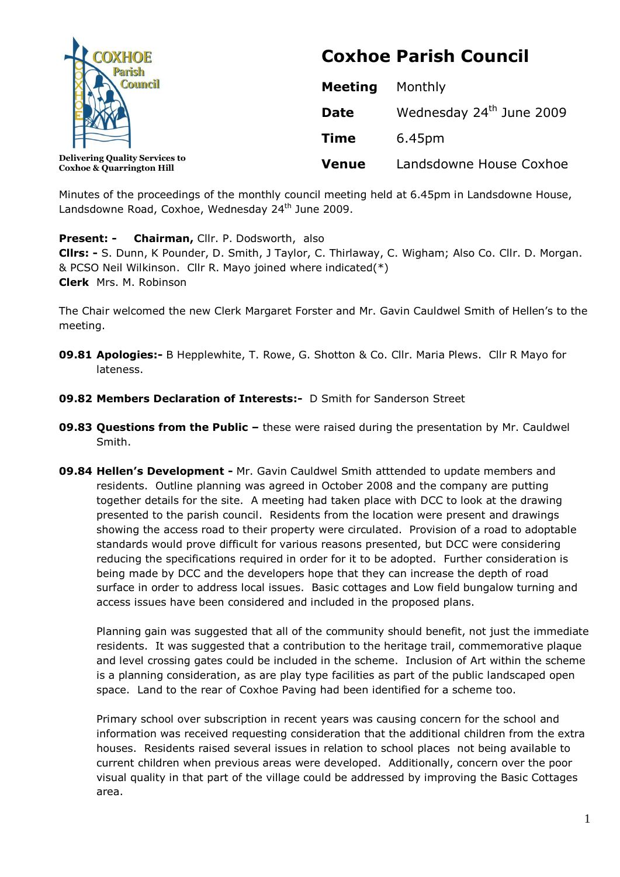

**Coxhoe & Quarrington Hill**

# **Coxhoe Parish Council**

| <b>Meeting</b> | Monthly                              |
|----------------|--------------------------------------|
| Date           | Wednesday 24 <sup>th</sup> June 2009 |
| Time           | 6.45pm                               |
| Venue          | Landsdowne House Coxhoe              |

Minutes of the proceedings of the monthly council meeting held at 6.45pm in Landsdowne House, Landsdowne Road, Coxhoe, Wednesday 24<sup>th</sup> June 2009.

**Present: - Chairman,** Cllr. P. Dodsworth, also

**Cllrs: -** S. Dunn, K Pounder, D. Smith, J Taylor, C. Thirlaway, C. Wigham; Also Co. Cllr. D. Morgan. & PCSO Neil Wilkinson. Cllr R. Mayo joined where indicated(\*) **Clerk** Mrs. M. Robinson

The Chair welcomed the new Clerk Margaret Forster and Mr. Gavin Cauldwel Smith of Hellen's to the meeting.

- **09.81 Apologies:-** B Hepplewhite, T. Rowe, G. Shotton & Co. Cllr. Maria Plews. Cllr R Mayo for lateness.
- **09.82 Members Declaration of Interests:-** D Smith for Sanderson Street
- **09.83 Questions from the Public –** these were raised during the presentation by Mr. Cauldwel Smith.
- **09.84 Hellen's Development -** Mr. Gavin Cauldwel Smith atttended to update members and residents. Outline planning was agreed in October 2008 and the company are putting together details for the site. A meeting had taken place with DCC to look at the drawing presented to the parish council. Residents from the location were present and drawings showing the access road to their property were circulated. Provision of a road to adoptable standards would prove difficult for various reasons presented, but DCC were considering reducing the specifications required in order for it to be adopted. Further consideration is being made by DCC and the developers hope that they can increase the depth of road surface in order to address local issues. Basic cottages and Low field bungalow turning and access issues have been considered and included in the proposed plans.

Planning gain was suggested that all of the community should benefit, not just the immediate residents. It was suggested that a contribution to the heritage trail, commemorative plaque and level crossing gates could be included in the scheme. Inclusion of Art within the scheme is a planning consideration, as are play type facilities as part of the public landscaped open space. Land to the rear of Coxhoe Paving had been identified for a scheme too.

Primary school over subscription in recent years was causing concern for the school and information was received requesting consideration that the additional children from the extra houses. Residents raised several issues in relation to school places not being available to current children when previous areas were developed. Additionally, concern over the poor visual quality in that part of the village could be addressed by improving the Basic Cottages area.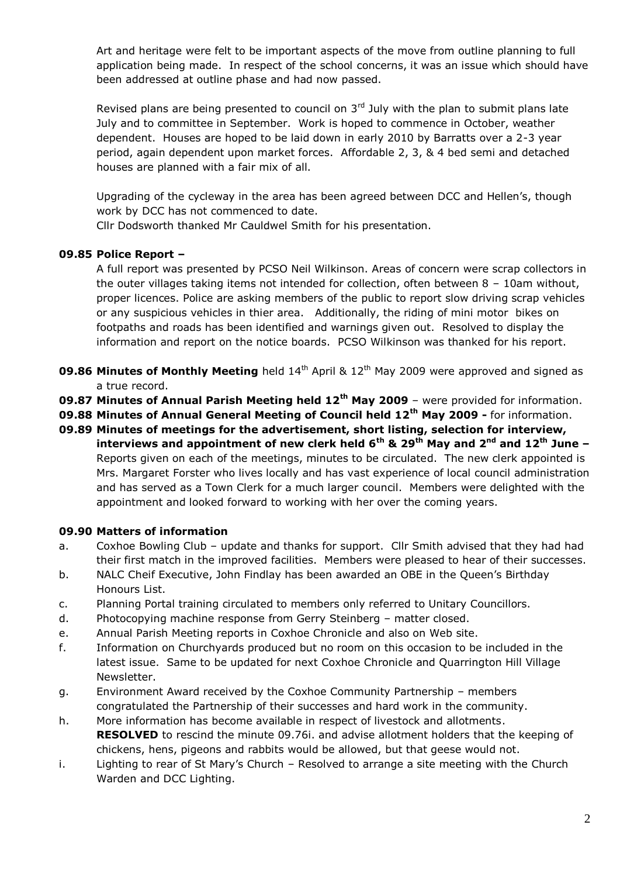Art and heritage were felt to be important aspects of the move from outline planning to full application being made. In respect of the school concerns, it was an issue which should have been addressed at outline phase and had now passed.

Revised plans are being presented to council on  $3<sup>rd</sup>$  July with the plan to submit plans late July and to committee in September. Work is hoped to commence in October, weather dependent. Houses are hoped to be laid down in early 2010 by Barratts over a 2-3 year period, again dependent upon market forces. Affordable 2, 3, & 4 bed semi and detached houses are planned with a fair mix of all.

Upgrading of the cycleway in the area has been agreed between DCC and Hellen's, though work by DCC has not commenced to date.

Cllr Dodsworth thanked Mr Cauldwel Smith for his presentation.

## **09.85 Police Report –**

A full report was presented by PCSO Neil Wilkinson. Areas of concern were scrap collectors in the outer villages taking items not intended for collection, often between 8 – 10am without, proper licences. Police are asking members of the public to report slow driving scrap vehicles or any suspicious vehicles in thier area. Additionally, the riding of mini motor bikes on footpaths and roads has been identified and warnings given out. Resolved to display the information and report on the notice boards. PCSO Wilkinson was thanked for his report.

- **09.86 Minutes of Monthly Meeting** held 14<sup>th</sup> April & 12<sup>th</sup> May 2009 were approved and signed as a true record.
- **09.87 Minutes of Annual Parish Meeting held 12th May 2009**  were provided for information.
- **09.88 Minutes of Annual General Meeting of Council held 12th May 2009 -** for information.
- **09.89 Minutes of meetings for the advertisement, short listing, selection for interview, interviews and appointment of new clerk held 6th & 29th May and 2nd and 12th June –** Reports given on each of the meetings, minutes to be circulated. The new clerk appointed is Mrs. Margaret Forster who lives locally and has vast experience of local council administration and has served as a Town Clerk for a much larger council. Members were delighted with the appointment and looked forward to working with her over the coming years.

#### **09.90 Matters of information**

- a. Coxhoe Bowling Club update and thanks for support. Cllr Smith advised that they had had their first match in the improved facilities. Members were pleased to hear of their successes.
- b. NALC Cheif Executive, John Findlay has been awarded an OBE in the Queen's Birthday Honours List.
- c. Planning Portal training circulated to members only referred to Unitary Councillors.
- d. Photocopying machine response from Gerry Steinberg matter closed.
- e. Annual Parish Meeting reports in Coxhoe Chronicle and also on Web site.
- f. Information on Churchyards produced but no room on this occasion to be included in the latest issue. Same to be updated for next Coxhoe Chronicle and Quarrington Hill Village Newsletter.
- g. Environment Award received by the Coxhoe Community Partnership members congratulated the Partnership of their successes and hard work in the community.
- h. More information has become available in respect of livestock and allotments. **RESOLVED** to rescind the minute 09.76i. and advise allotment holders that the keeping of chickens, hens, pigeons and rabbits would be allowed, but that geese would not.
- i. Lighting to rear of St Mary's Church Resolved to arrange a site meeting with the Church Warden and DCC Lighting.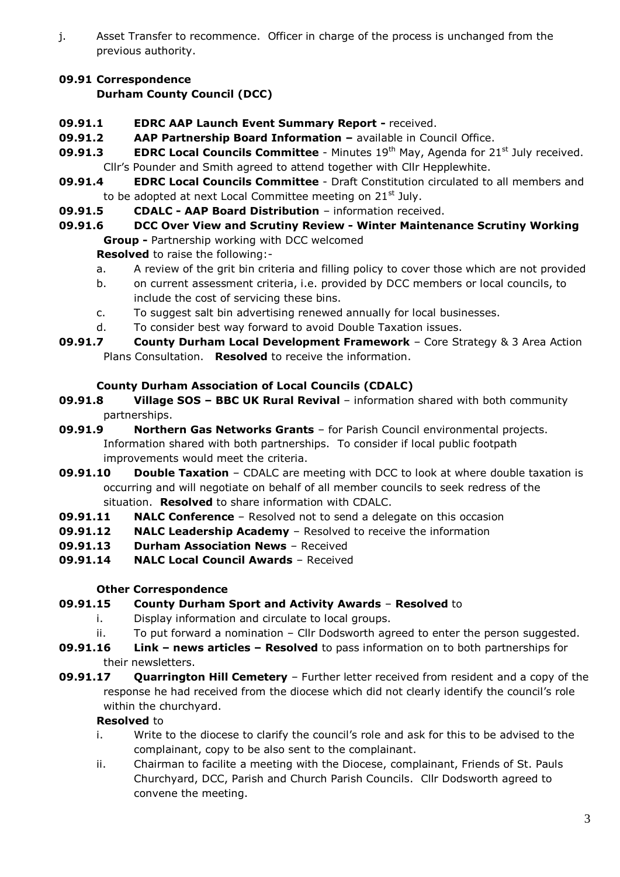j. Asset Transfer to recommence. Officer in charge of the process is unchanged from the previous authority.

# **09.91 Correspondence**

# **Durham County Council (DCC)**

- **09.91.1 EDRC AAP Launch Event Summary Report -** received.
- **09.91.2 AAP Partnership Board Information –** available in Council Office.
- **09.91.3 EDRC Local Councils Committee** Minutes 19<sup>th</sup> May, Agenda for 21<sup>st</sup> July received. Cllr's Pounder and Smith agreed to attend together with Cllr Hepplewhite.
- **09.91.4 EDRC Local Councils Committee** Draft Constitution circulated to all members and to be adopted at next Local Committee meeting on  $21^{st}$  July.
- **09.91.5 CDALC - AAP Board Distribution** information received.
- **09.91.6 DCC Over View and Scrutiny Review - Winter Maintenance Scrutiny Working Group -** Partnership working with DCC welcomed

**Resolved** to raise the following:-

- a. A review of the grit bin criteria and filling policy to cover those which are not provided
- b. on current assessment criteria, i.e. provided by DCC members or local councils, to include the cost of servicing these bins.
- c. To suggest salt bin advertising renewed annually for local businesses.
- d. To consider best way forward to avoid Double Taxation issues.
- **09.91.7 County Durham Local Development Framework** Core Strategy & 3 Area Action Plans Consultation. **Resolved** to receive the information.

## **County Durham Association of Local Councils (CDALC)**

- **09.91.8 Village SOS – BBC UK Rural Revival** information shared with both community partnerships.
- **09.91.9 Northern Gas Networks Grants** for Parish Council environmental projects. Information shared with both partnerships. To consider if local public footpath improvements would meet the criteria.
- **09.91.10 •• Double Taxation** CDALC are meeting with DCC to look at where double taxation is occurring and will negotiate on behalf of all member councils to seek redress of the situation. **Resolved** to share information with CDALC.
- **09.91.11 NALC Conference** Resolved not to send a delegate on this occasion
- **09.91.12 NALC Leadership Academy** Resolved to receive the information
- **09.91.13 Durham Association News** Received
- **09.91.14 NALC Local Council Awards** Received

## **Other Correspondence**

- **09.91.15 County Durham Sport and Activity Awards Resolved** to
	- i. Display information and circulate to local groups.
	- ii. To put forward a nomination Cllr Dodsworth agreed to enter the person suggested.
- **09.91.16 Link – news articles – Resolved** to pass information on to both partnerships for their newsletters.
- **09.91.17 Quarrington Hill Cemetery** Further letter received from resident and a copy of the response he had received from the diocese which did not clearly identify the council's role within the churchyard.

#### **Resolved** to

- i. Write to the diocese to clarify the council's role and ask for this to be advised to the complainant, copy to be also sent to the complainant.
- ii. Chairman to facilite a meeting with the Diocese, complainant, Friends of St. Pauls Churchyard, DCC, Parish and Church Parish Councils. Cllr Dodsworth agreed to convene the meeting.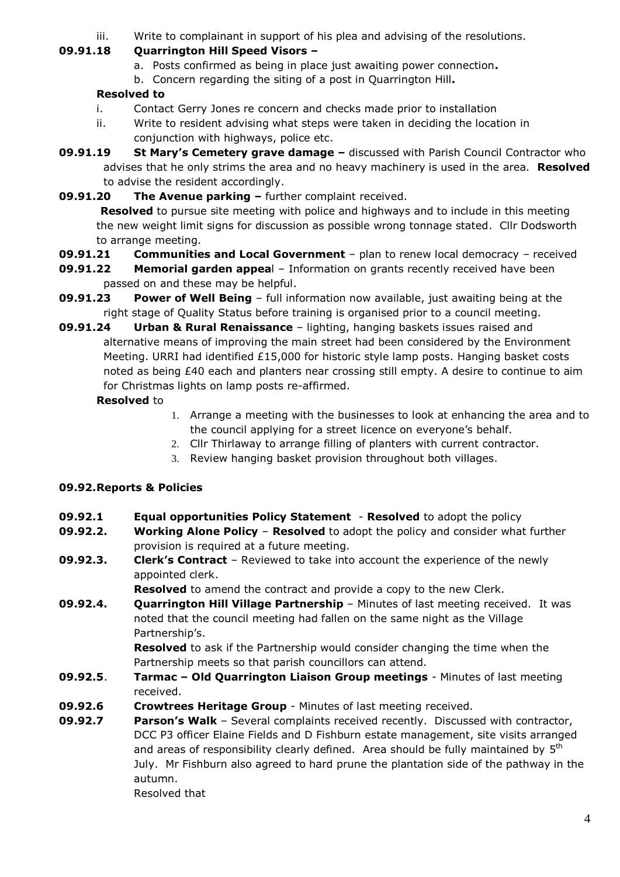iii. Write to complainant in support of his plea and advising of the resolutions.

## **09.91.18 Quarrington Hill Speed Visors –**

- a. Posts confirmed as being in place just awaiting power connection**.**
- b. Concern regarding the siting of a post in Quarrington Hill**.**

# **Resolved to**

- i. Contact Gerry Jones re concern and checks made prior to installation
- ii. Write to resident advising what steps were taken in deciding the location in conjunction with highways, police etc.
- **09.91.19 St Mary's Cemetery grave damage –** discussed with Parish Council Contractor who advises that he only strims the area and no heavy machinery is used in the area. **Resolved**  to advise the resident accordingly.
- **09.91.20 The Avenue parking –** further complaint received.

**Resolved** to pursue site meeting with police and highways and to include in this meeting the new weight limit signs for discussion as possible wrong tonnage stated. Cllr Dodsworth to arrange meeting.

- **09.91.21 Communities and Local Government** plan to renew local democracy received
- **09.91.22 Memorial garden appea**l Information on grants recently received have been passed on and these may be helpful.
- **09.91.23 Power of Well Being** full information now available, just awaiting being at the right stage of Quality Status before training is organised prior to a council meeting.
- **09.91.24 Urban & Rural Renaissance** lighting, hanging baskets issues raised and alternative means of improving the main street had been considered by the Environment Meeting. URRI had identified £15,000 for historic style lamp posts. Hanging basket costs noted as being £40 each and planters near crossing still empty. A desire to continue to aim for Christmas lights on lamp posts re-affirmed.

# **Resolved** to

- 1. Arrange a meeting with the businesses to look at enhancing the area and to the council applying for a street licence on everyone's behalf.
- 2. Cllr Thirlaway to arrange filling of planters with current contractor.
- 3. Review hanging basket provision throughout both villages.

# **09.92.Reports & Policies**

- **09.92.1 Equal opportunities Policy Statement Resolved** to adopt the policy
- **09.92.2. Working Alone Policy Resolved** to adopt the policy and consider what further provision is required at a future meeting.
- **09.92.3. Clerk's Contract** Reviewed to take into account the experience of the newly appointed clerk.

**Resolved** to amend the contract and provide a copy to the new Clerk.

**09.92.4. Quarrington Hill Village Partnership** – Minutes of last meeting received. It was noted that the council meeting had fallen on the same night as the Village Partnership's.

**Resolved** to ask if the Partnership would consider changing the time when the Partnership meets so that parish councillors can attend.

- **09.92.5**. **Tarmac – Old Quarrington Liaison Group meetings** Minutes of last meeting received.
- **09.92.6 Crowtrees Heritage Group** Minutes of last meeting received.
- **09.92.7 Parson's Walk** Several complaints received recently. Discussed with contractor, DCC P3 officer Elaine Fields and D Fishburn estate management, site visits arranged and areas of responsibility clearly defined. Area should be fully maintained by  $5<sup>th</sup>$ July. Mr Fishburn also agreed to hard prune the plantation side of the pathway in the autumn.

Resolved that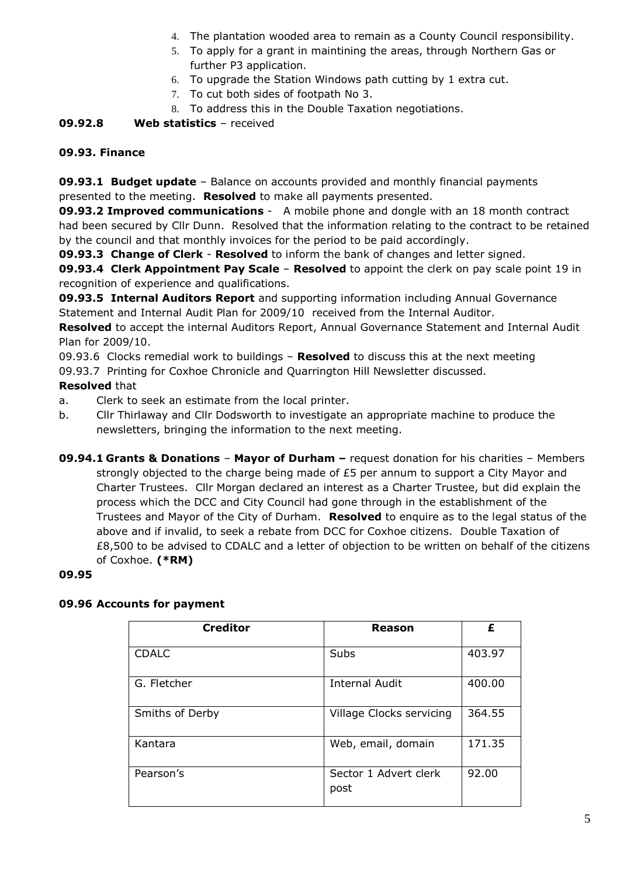- 4. The plantation wooded area to remain as a County Council responsibility.
- 5. To apply for a grant in maintining the areas, through Northern Gas or further P3 application.
- 6. To upgrade the Station Windows path cutting by 1 extra cut.
- 7. To cut both sides of footpath No 3.
- 8. To address this in the Double Taxation negotiations.

## **09.92.8 Web statistics** – received

#### **09.93. Finance**

**09.93.1 Budget update** – Balance on accounts provided and monthly financial payments presented to the meeting. **Resolved** to make all payments presented.

**09.93.2 Improved communications** - A mobile phone and dongle with an 18 month contract had been secured by Cllr Dunn. Resolved that the information relating to the contract to be retained by the council and that monthly invoices for the period to be paid accordingly.

**09.93.3 Change of Clerk** - **Resolved** to inform the bank of changes and letter signed.

**09.93.4 Clerk Appointment Pay Scale** – **Resolved** to appoint the clerk on pay scale point 19 in recognition of experience and qualifications.

**09.93.5 Internal Auditors Report** and supporting information including Annual Governance Statement and Internal Audit Plan for 2009/10 received from the Internal Auditor.

**Resolved** to accept the internal Auditors Report, Annual Governance Statement and Internal Audit Plan for 2009/10.

09.93.6 Clocks remedial work to buildings – **Resolved** to discuss this at the next meeting

09.93.7 Printing for Coxhoe Chronicle and Quarrington Hill Newsletter discussed.

## **Resolved** that

a. Clerk to seek an estimate from the local printer.

- b. Cllr Thirlaway and Cllr Dodsworth to investigate an appropriate machine to produce the newsletters, bringing the information to the next meeting.
- **09.94.1 Grants & Donations Mayor of Durham –** request donation for his charities Members strongly objected to the charge being made of £5 per annum to support a City Mayor and Charter Trustees. Cllr Morgan declared an interest as a Charter Trustee, but did explain the process which the DCC and City Council had gone through in the establishment of the Trustees and Mayor of the City of Durham. **Resolved** to enquire as to the legal status of the above and if invalid, to seek a rebate from DCC for Coxhoe citizens. Double Taxation of £8,500 to be advised to CDALC and a letter of objection to be written on behalf of the citizens of Coxhoe. **(\*RM)**

#### **09.95**

## **09.96 Accounts for payment**

| <b>Creditor</b> | Reason                        | £      |
|-----------------|-------------------------------|--------|
| <b>CDALC</b>    | Subs                          | 403.97 |
| G. Fletcher     | <b>Internal Audit</b>         | 400.00 |
| Smiths of Derby | Village Clocks servicing      | 364.55 |
| Kantara         | Web, email, domain            | 171.35 |
| Pearson's       | Sector 1 Advert clerk<br>post | 92.00  |